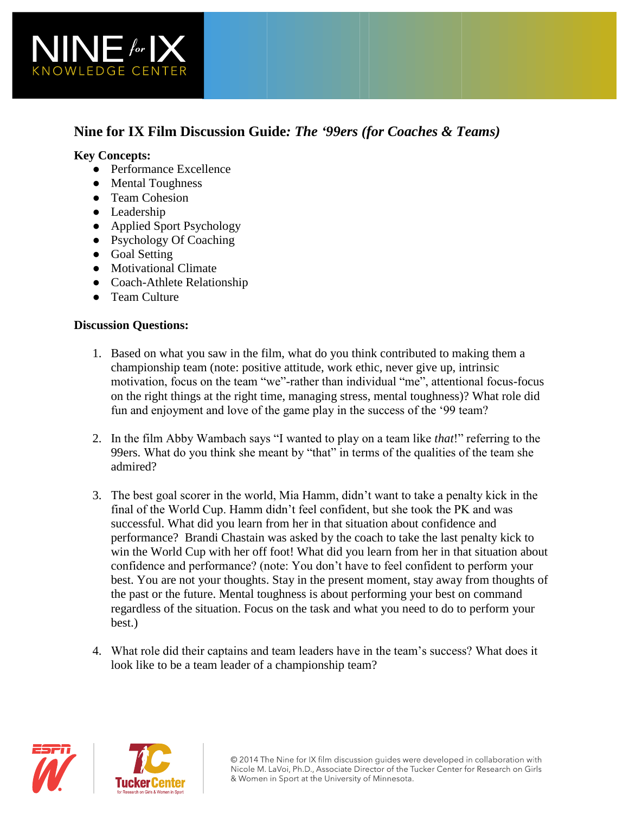

# **Nine for IX Film Discussion Guide***: The '99ers (for Coaches & Teams)*

#### **Key Concepts:**

- Performance Excellence
- Mental Toughness
- Team Cohesion
- Leadership
- Applied Sport Psychology
- Psychology Of Coaching
- Goal Setting
- Motivational Climate
- Coach-Athlete Relationship
- Team Culture

### **Discussion Questions:**

- 1. Based on what you saw in the film, what do you think contributed to making them a championship team (note: positive attitude, work ethic, never give up, intrinsic motivation, focus on the team "we"-rather than individual "me", attentional focus-focus on the right things at the right time, managing stress, mental toughness)? What role did fun and enjoyment and love of the game play in the success of the '99 team?
- 2. In the film Abby Wambach says "I wanted to play on a team like *that*!" referring to the 99ers. What do you think she meant by "that" in terms of the qualities of the team she admired?
- 3. The best goal scorer in the world, Mia Hamm, didn't want to take a penalty kick in the final of the World Cup. Hamm didn't feel confident, but she took the PK and was successful. What did you learn from her in that situation about confidence and performance? Brandi Chastain was asked by the coach to take the last penalty kick to win the World Cup with her off foot! What did you learn from her in that situation about confidence and performance? (note: You don't have to feel confident to perform your best. You are not your thoughts. Stay in the present moment, stay away from thoughts of the past or the future. Mental toughness is about performing your best on command regardless of the situation. Focus on the task and what you need to do to perform your best.)
- 4. What role did their captains and team leaders have in the team's success? What does it look like to be a team leader of a championship team?



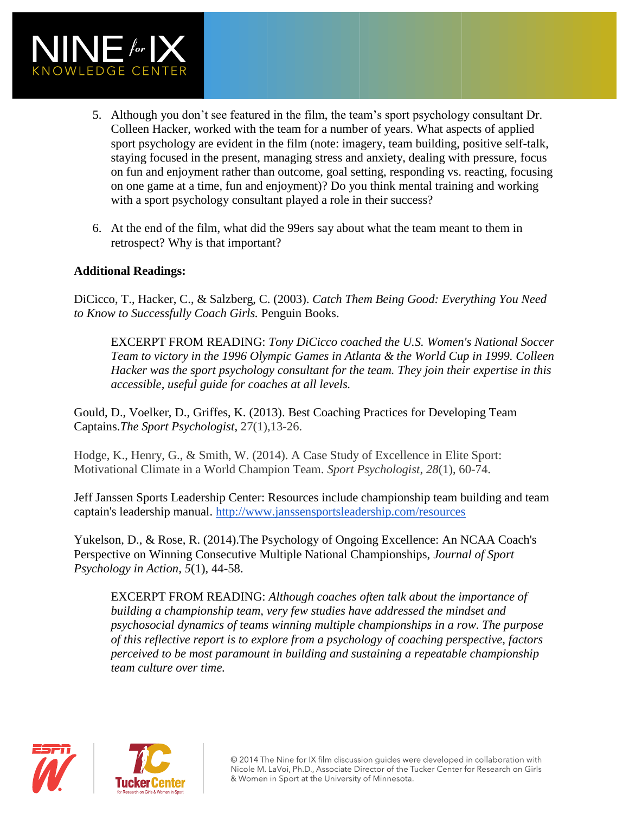

- 5. Although you don't see featured in the film, the team's sport psychology consultant Dr. Colleen Hacker, worked with the team for a number of years. What aspects of applied sport psychology are evident in the film (note: imagery, team building, positive self-talk, staying focused in the present, managing stress and anxiety, dealing with pressure, focus on fun and enjoyment rather than outcome, goal setting, responding vs. reacting, focusing on one game at a time, fun and enjoyment)? Do you think mental training and working with a sport psychology consultant played a role in their success?
- 6. At the end of the film, what did the 99ers say about what the team meant to them in retrospect? Why is that important?

### **Additional Readings:**

DiCicco, T., Hacker, C., & Salzberg, C. (2003). *Catch Them Being Good: Everything You Need to Know to Successfully Coach Girls.* Penguin Books.

EXCERPT FROM READING: *Tony DiCicco coached the U.S. Women's National Soccer Team to victory in the 1996 Olympic Games in Atlanta & the World Cup in 1999. Colleen Hacker was the sport psychology consultant for the team. They join their expertise in this accessible, useful guide for coaches at all levels.* 

Gould, D., Voelker, D., Griffes, K. (2013). Best Coaching Practices for Developing Team Captains.*The Sport Psychologist*, 27(1),13-26.

Hodge, K., Henry, G., & Smith, W. (2014). A Case Study of Excellence in Elite Sport: Motivational Climate in a World Champion Team. *Sport Psychologist*, *28*(1), 60-74.

Jeff Janssen Sports Leadership Center: Resources include championship team building and team captain's leadership manual. [http://www.janssensportsleadership.com/resources](http://www.janssensportsleadership.com/resources/free-championship-team-building-evaluation/)

Yukelson, D., & Rose, R. (2014).The Psychology of Ongoing Excellence: An NCAA Coach's Perspective on Winning Consecutive Multiple National Championships, *Journal of Sport Psychology in Action, 5*(1), 44-58.

EXCERPT FROM READING: *Although coaches often talk about the importance of building a championship team, very few studies have addressed the mindset and psychosocial dynamics of teams winning multiple championships in a row. The purpose of this reflective report is to explore from a psychology of coaching perspective, factors perceived to be most paramount in building and sustaining a repeatable championship team culture over time.*





© 2014 The Nine for IX film discussion guides were developed in collaboration with Nicole M. LaVoi, Ph.D., Associate Director of the Tucker Center for Research on Girls & Women in Sport at the University of Minnesota.